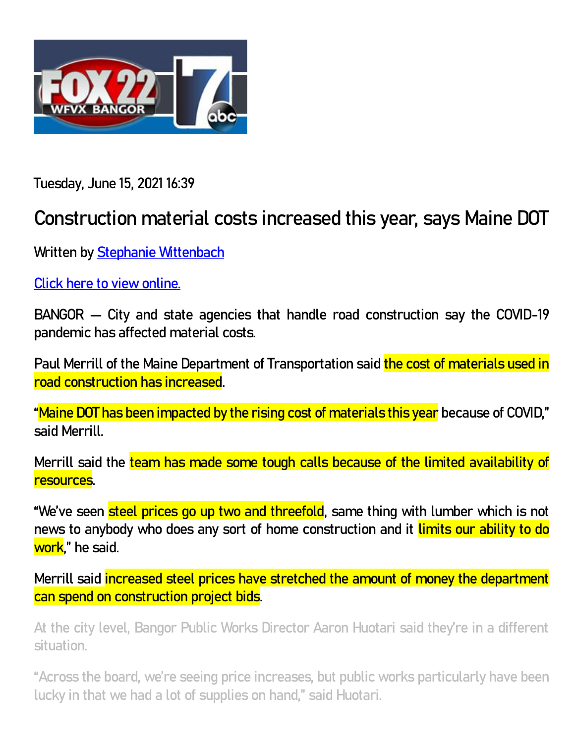

**Tuesday, June 15, 2021 16:39** 

## **Construction material costs increased this year, says Maine DOT**

**Written by [Stephanie Wittenbach](https://www.foxbangor.com/news/item/author/swittenbach/)**

**[Click here to view online.](https://www.foxbangor.com/news/item/construction-materials-increased-this-year-says-maine-dot/)**

**BANGOR — City and state agencies that handle road construction say the COVID-19 pandemic has affected material costs.**

**Paul Merrill of the Maine Department of Transportation said the cost of materials used in road construction has increased.**

**"Maine DOT has been impacted by the rising cost of materials this year because of COVID," said Merrill.**

**Merrill said the team has made some tough calls because of the limited availability of resources.**

**"We've seen steel prices go up two and threefold, same thing with lumber which is not news to anybody who does any sort of home construction and it limits our ability to do work," he said.**

**Merrill said increased steel prices have stretched the amount of money the department can spend on construction project bids.**

**At the city level, Bangor Public Works Director Aaron Huotari said they're in a different situation.**

**"Across the board, we're seeing price increases, but public works particularly have been lucky in that we had a lot of supplies on hand," said Huotari.**